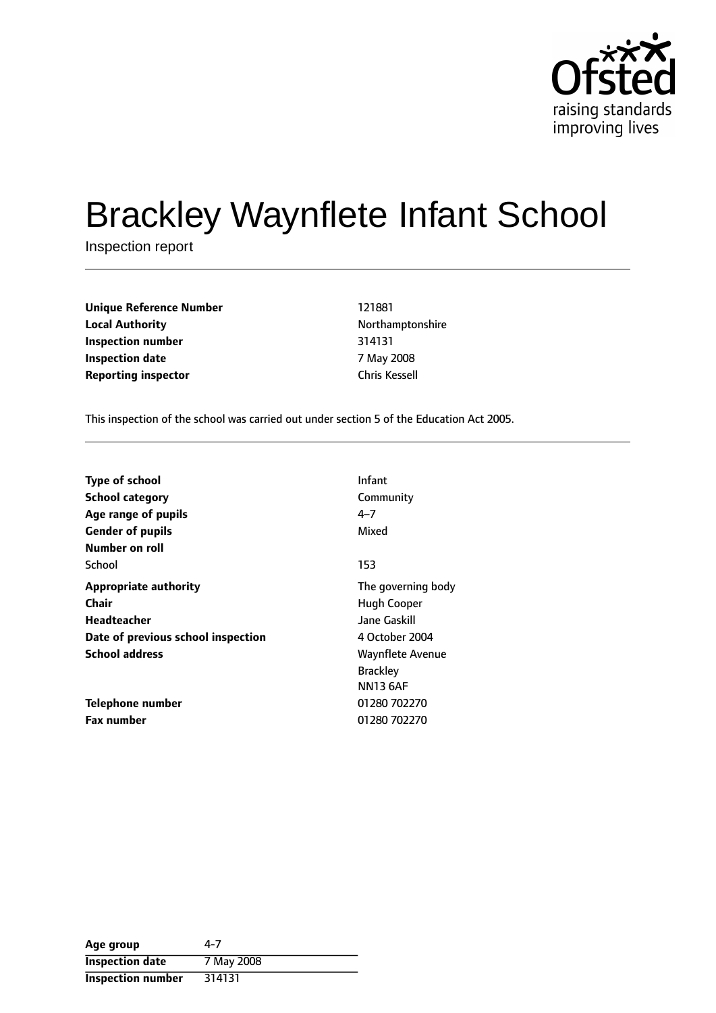

# Brackley Waynflete Infant School

Inspection report

**Unique Reference Number** 121881 **Local Authority Northamptonshire Inspection number** 314131 **Inspection date** 7 May 2008 **Reporting inspector** Chris Kessell

This inspection of the school was carried out under section 5 of the Education Act 2005.

| <b>Type of school</b>              | Infant                  |
|------------------------------------|-------------------------|
| <b>School category</b>             | Community               |
| Age range of pupils                | $4 - 7$                 |
| <b>Gender of pupils</b>            | Mixed                   |
| Number on roll                     |                         |
| School                             | 153                     |
| <b>Appropriate authority</b>       | The governing body      |
| Chair                              | Hugh Cooper             |
| Headteacher                        | Jane Gaskill            |
| Date of previous school inspection | 4 October 2004          |
| <b>School address</b>              | <b>Waynflete Avenue</b> |
|                                    | <b>Brackley</b>         |
|                                    | <b>NN13 6AF</b>         |
| Telephone number                   | 01280 702270            |
| <b>Fax number</b>                  | 01280 702270            |

| Age group                | 4-7        |
|--------------------------|------------|
| <b>Inspection date</b>   | 7 May 2008 |
| <b>Inspection number</b> | 314131     |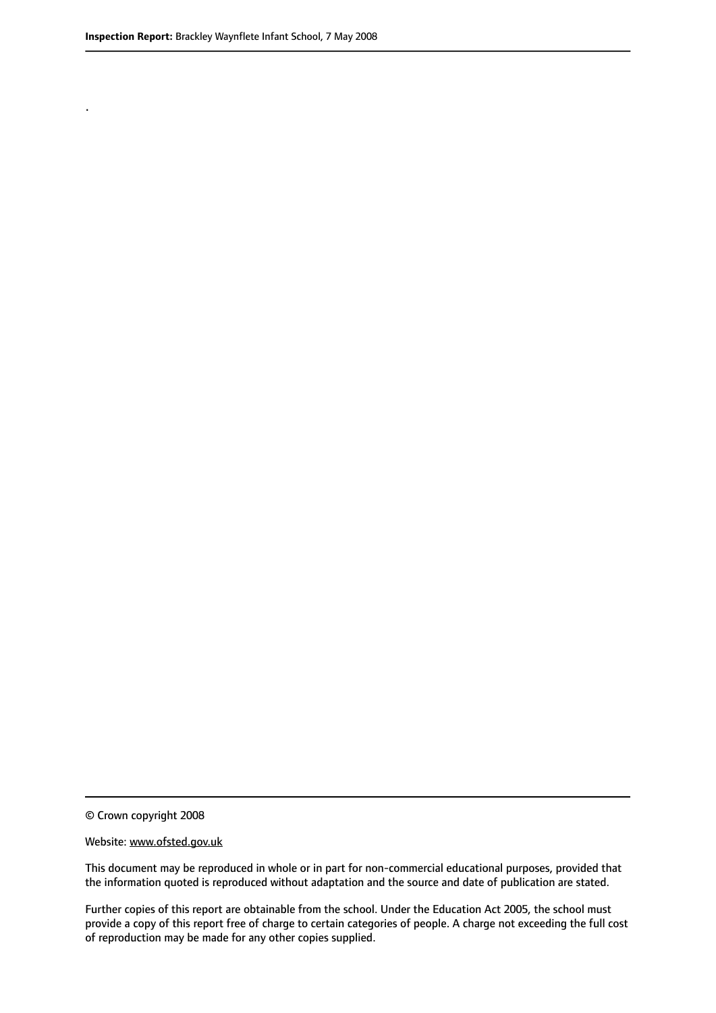.

© Crown copyright 2008

#### Website: www.ofsted.gov.uk

This document may be reproduced in whole or in part for non-commercial educational purposes, provided that the information quoted is reproduced without adaptation and the source and date of publication are stated.

Further copies of this report are obtainable from the school. Under the Education Act 2005, the school must provide a copy of this report free of charge to certain categories of people. A charge not exceeding the full cost of reproduction may be made for any other copies supplied.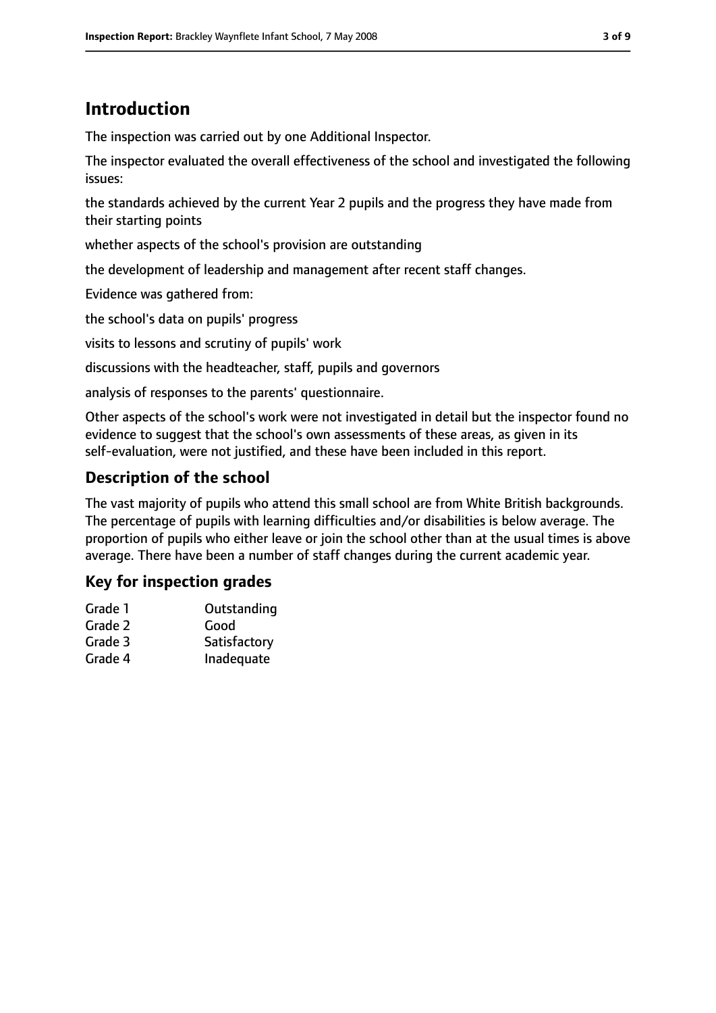# **Introduction**

The inspection was carried out by one Additional Inspector.

The inspector evaluated the overall effectiveness of the school and investigated the following issues:

the standards achieved by the current Year 2 pupils and the progress they have made from their starting points

whether aspects of the school's provision are outstanding

the development of leadership and management after recent staff changes.

Evidence was gathered from:

the school's data on pupils' progress

visits to lessons and scrutiny of pupils' work

discussions with the headteacher, staff, pupils and governors

analysis of responses to the parents' questionnaire.

Other aspects of the school's work were not investigated in detail but the inspector found no evidence to suggest that the school's own assessments of these areas, as given in its self-evaluation, were not justified, and these have been included in this report.

## **Description of the school**

The vast majority of pupils who attend this small school are from White British backgrounds. The percentage of pupils with learning difficulties and/or disabilities is below average. The proportion of pupils who either leave or join the school other than at the usual times is above average. There have been a number of staff changes during the current academic year.

## **Key for inspection grades**

| Grade 1 | Outstanding |
|---------|-------------|
| Grade 2 | Good        |

| Grade 3 | Satisfactory |
|---------|--------------|
|         |              |

Grade 4 Inadequate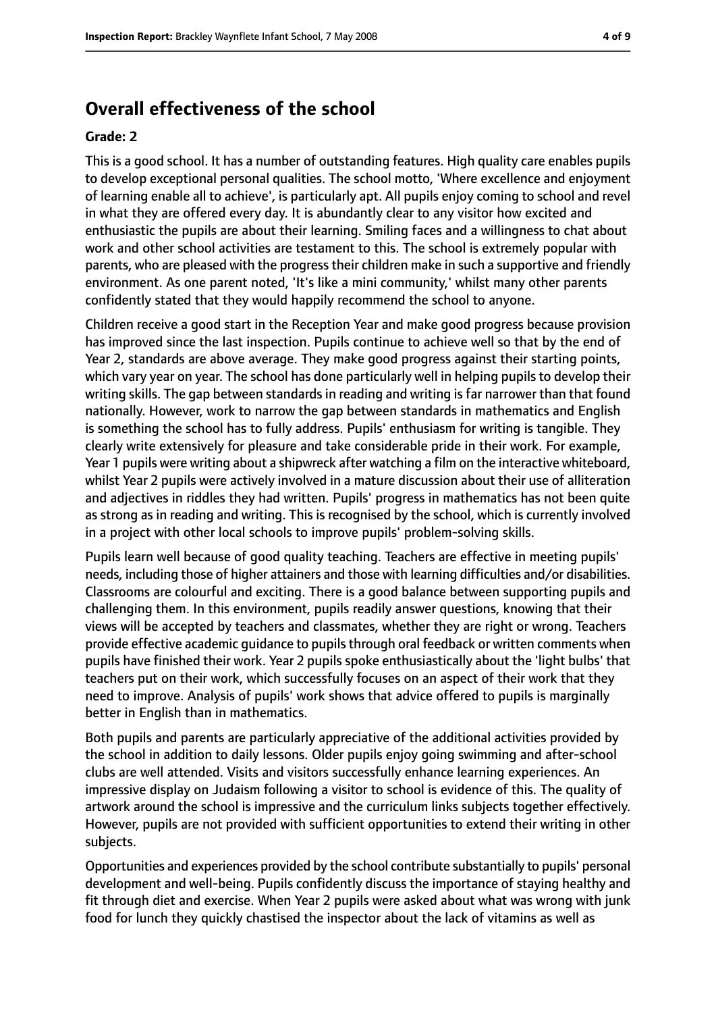# **Overall effectiveness of the school**

#### **Grade: 2**

This is a good school. It has a number of outstanding features. High quality care enables pupils to develop exceptional personal qualities. The school motto, 'Where excellence and enjoyment of learning enable all to achieve', is particularly apt. All pupils enjoy coming to school and revel in what they are offered every day. It is abundantly clear to any visitor how excited and enthusiastic the pupils are about their learning. Smiling faces and a willingness to chat about work and other school activities are testament to this. The school is extremely popular with parents, who are pleased with the progress their children make in such a supportive and friendly environment. As one parent noted, 'It's like a mini community,' whilst many other parents confidently stated that they would happily recommend the school to anyone.

Children receive a good start in the Reception Year and make good progress because provision has improved since the last inspection. Pupils continue to achieve well so that by the end of Year 2, standards are above average. They make good progress against their starting points, which vary year on year. The school has done particularly well in helping pupils to develop their writing skills. The gap between standards in reading and writing is far narrower than that found nationally. However, work to narrow the gap between standards in mathematics and English is something the school has to fully address. Pupils' enthusiasm for writing is tangible. They clearly write extensively for pleasure and take considerable pride in their work. For example, Year 1 pupils were writing about a shipwreck after watching a film on the interactive whiteboard, whilst Year 2 pupils were actively involved in a mature discussion about their use of alliteration and adjectives in riddles they had written. Pupils' progress in mathematics has not been quite as strong as in reading and writing. This is recognised by the school, which is currently involved in a project with other local schools to improve pupils' problem-solving skills.

Pupils learn well because of good quality teaching. Teachers are effective in meeting pupils' needs, including those of higher attainers and those with learning difficulties and/or disabilities. Classrooms are colourful and exciting. There is a good balance between supporting pupils and challenging them. In this environment, pupils readily answer questions, knowing that their views will be accepted by teachers and classmates, whether they are right or wrong. Teachers provide effective academic guidance to pupilsthrough oral feedback or written comments when pupils have finished their work. Year 2 pupils spoke enthusiastically about the 'light bulbs' that teachers put on their work, which successfully focuses on an aspect of their work that they need to improve. Analysis of pupils' work shows that advice offered to pupils is marginally better in English than in mathematics.

Both pupils and parents are particularly appreciative of the additional activities provided by the school in addition to daily lessons. Older pupils enjoy going swimming and after-school clubs are well attended. Visits and visitors successfully enhance learning experiences. An impressive display on Judaism following a visitor to school is evidence of this. The quality of artwork around the school is impressive and the curriculum links subjects together effectively. However, pupils are not provided with sufficient opportunities to extend their writing in other subjects.

Opportunities and experiences provided by the school contribute substantially to pupils' personal development and well-being. Pupils confidently discuss the importance of staying healthy and fit through diet and exercise. When Year 2 pupils were asked about what was wrong with junk food for lunch they quickly chastised the inspector about the lack of vitamins as well as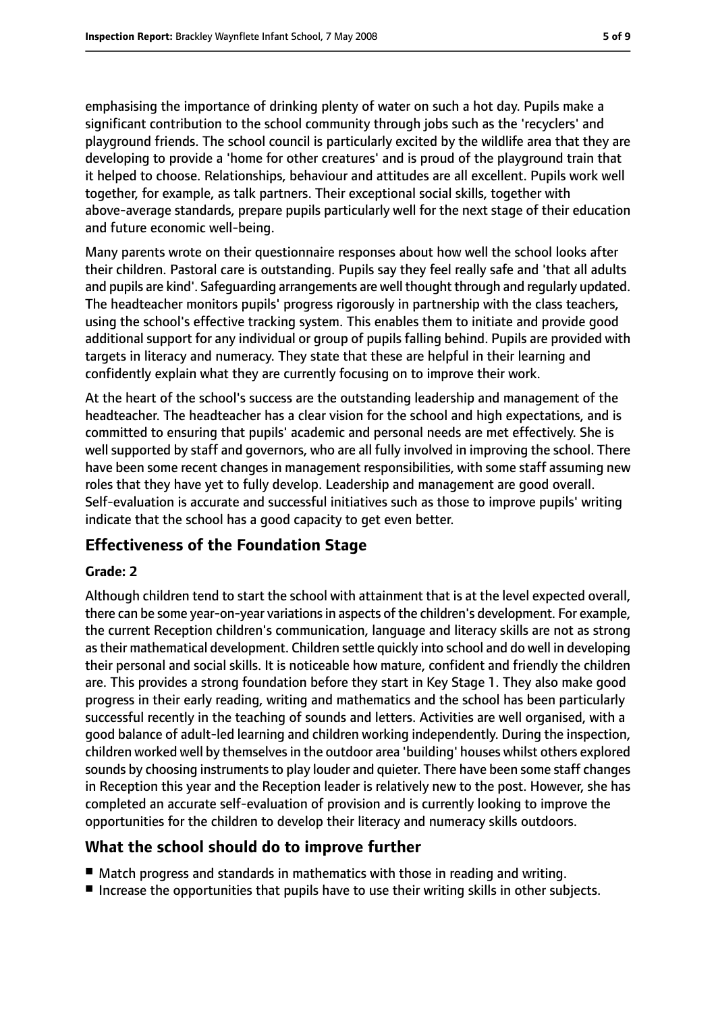emphasising the importance of drinking plenty of water on such a hot day. Pupils make a significant contribution to the school community through jobs such as the 'recyclers' and playground friends. The school council is particularly excited by the wildlife area that they are developing to provide a 'home for other creatures' and is proud of the playground train that it helped to choose. Relationships, behaviour and attitudes are all excellent. Pupils work well together, for example, as talk partners. Their exceptional social skills, together with above-average standards, prepare pupils particularly well for the next stage of their education and future economic well-being.

Many parents wrote on their questionnaire responses about how well the school looks after their children. Pastoral care is outstanding. Pupils say they feel really safe and 'that all adults and pupils are kind'. Safeguarding arrangements are well thought through and regularly updated. The headteacher monitors pupils' progress rigorously in partnership with the class teachers, using the school's effective tracking system. This enables them to initiate and provide good additional support for any individual or group of pupils falling behind. Pupils are provided with targets in literacy and numeracy. They state that these are helpful in their learning and confidently explain what they are currently focusing on to improve their work.

At the heart of the school's success are the outstanding leadership and management of the headteacher. The headteacher has a clear vision for the school and high expectations, and is committed to ensuring that pupils' academic and personal needs are met effectively. She is well supported by staff and governors, who are all fully involved in improving the school. There have been some recent changes in management responsibilities, with some staff assuming new roles that they have yet to fully develop. Leadership and management are good overall. Self-evaluation is accurate and successful initiatives such as those to improve pupils' writing indicate that the school has a good capacity to get even better.

# **Effectiveness of the Foundation Stage**

#### **Grade: 2**

Although children tend to start the school with attainment that is at the level expected overall, there can be some year-on-year variationsin aspects of the children's development. For example, the current Reception children's communication, language and literacy skills are not as strong astheir mathematical development. Children settle quickly into school and do well in developing their personal and social skills. It is noticeable how mature, confident and friendly the children are. This provides a strong foundation before they start in Key Stage 1. They also make good progress in their early reading, writing and mathematics and the school has been particularly successful recently in the teaching of sounds and letters. Activities are well organised, with a good balance of adult-led learning and children working independently. During the inspection, children worked well by themselvesin the outdoor area 'building' houses whilst others explored sounds by choosing instruments to play louder and quieter. There have been some staff changes in Reception this year and the Reception leader is relatively new to the post. However, she has completed an accurate self-evaluation of provision and is currently looking to improve the opportunities for the children to develop their literacy and numeracy skills outdoors.

## **What the school should do to improve further**

- Match progress and standards in mathematics with those in reading and writing.
- Increase the opportunities that pupils have to use their writing skills in other subjects.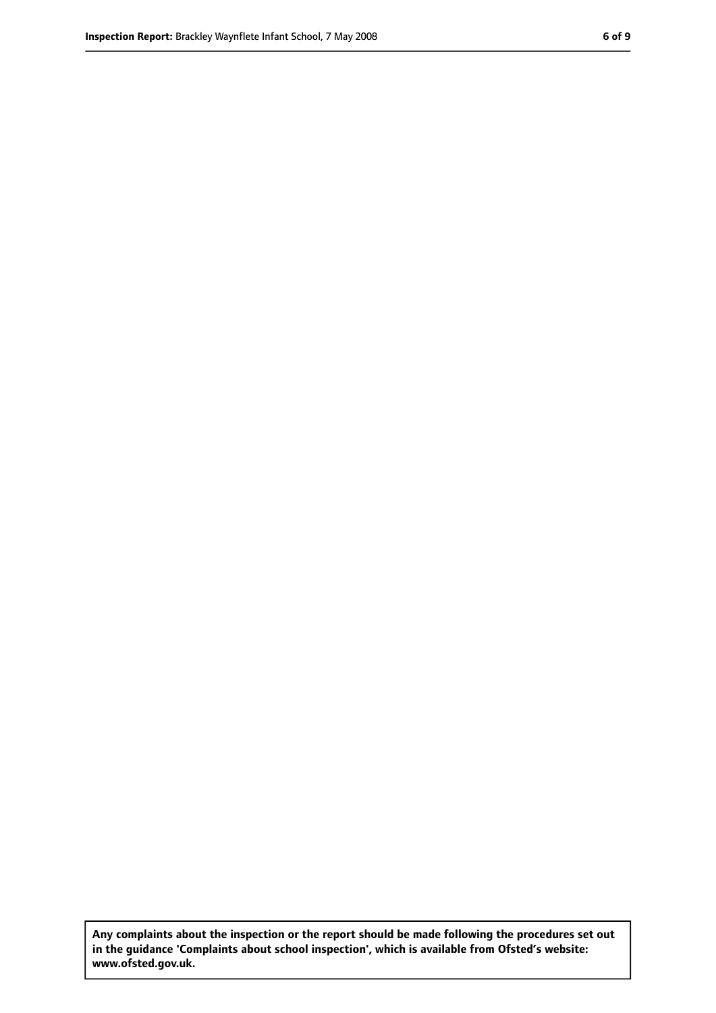**Any complaints about the inspection or the report should be made following the procedures set out in the guidance 'Complaints about school inspection', which is available from Ofsted's website: www.ofsted.gov.uk.**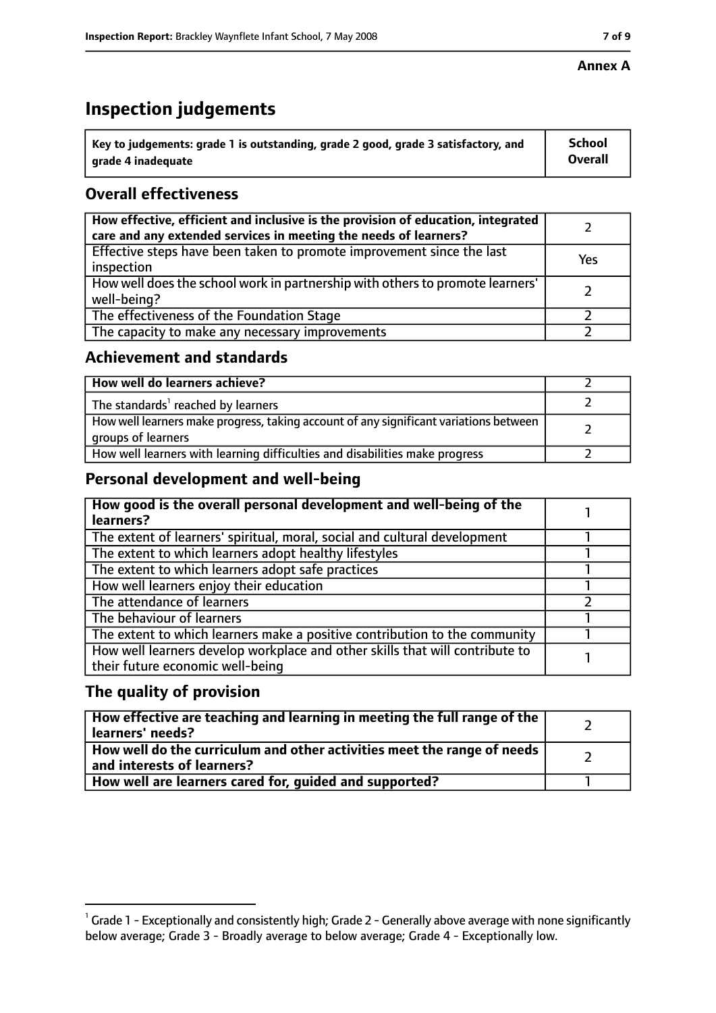#### **Annex A**

# **Inspection judgements**

| $^{\backprime}$ Key to judgements: grade 1 is outstanding, grade 2 good, grade 3 satisfactory, and | <b>School</b>  |
|----------------------------------------------------------------------------------------------------|----------------|
| arade 4 inadequate                                                                                 | <b>Overall</b> |

# **Overall effectiveness**

| How effective, efficient and inclusive is the provision of education, integrated<br>care and any extended services in meeting the needs of learners? |     |
|------------------------------------------------------------------------------------------------------------------------------------------------------|-----|
| Effective steps have been taken to promote improvement since the last<br>inspection                                                                  | Yes |
| How well does the school work in partnership with others to promote learners'<br>well-being?                                                         |     |
| The effectiveness of the Foundation Stage                                                                                                            |     |
| The capacity to make any necessary improvements                                                                                                      |     |

## **Achievement and standards**

| How well do learners achieve?                                                                               |  |
|-------------------------------------------------------------------------------------------------------------|--|
| The standards <sup>1</sup> reached by learners                                                              |  |
| How well learners make progress, taking account of any significant variations between<br>groups of learners |  |
| How well learners with learning difficulties and disabilities make progress                                 |  |

## **Personal development and well-being**

| How good is the overall personal development and well-being of the<br>learners?                                  |  |
|------------------------------------------------------------------------------------------------------------------|--|
| The extent of learners' spiritual, moral, social and cultural development                                        |  |
| The extent to which learners adopt healthy lifestyles                                                            |  |
| The extent to which learners adopt safe practices                                                                |  |
| How well learners enjoy their education                                                                          |  |
| The attendance of learners                                                                                       |  |
| The behaviour of learners                                                                                        |  |
| The extent to which learners make a positive contribution to the community                                       |  |
| How well learners develop workplace and other skills that will contribute to<br>their future economic well-being |  |

## **The quality of provision**

| How effective are teaching and learning in meeting the full range of the<br>learners' needs?          |  |
|-------------------------------------------------------------------------------------------------------|--|
| How well do the curriculum and other activities meet the range of needs<br>and interests of learners? |  |
| How well are learners cared for, quided and supported?                                                |  |

 $^1$  Grade 1 - Exceptionally and consistently high; Grade 2 - Generally above average with none significantly below average; Grade 3 - Broadly average to below average; Grade 4 - Exceptionally low.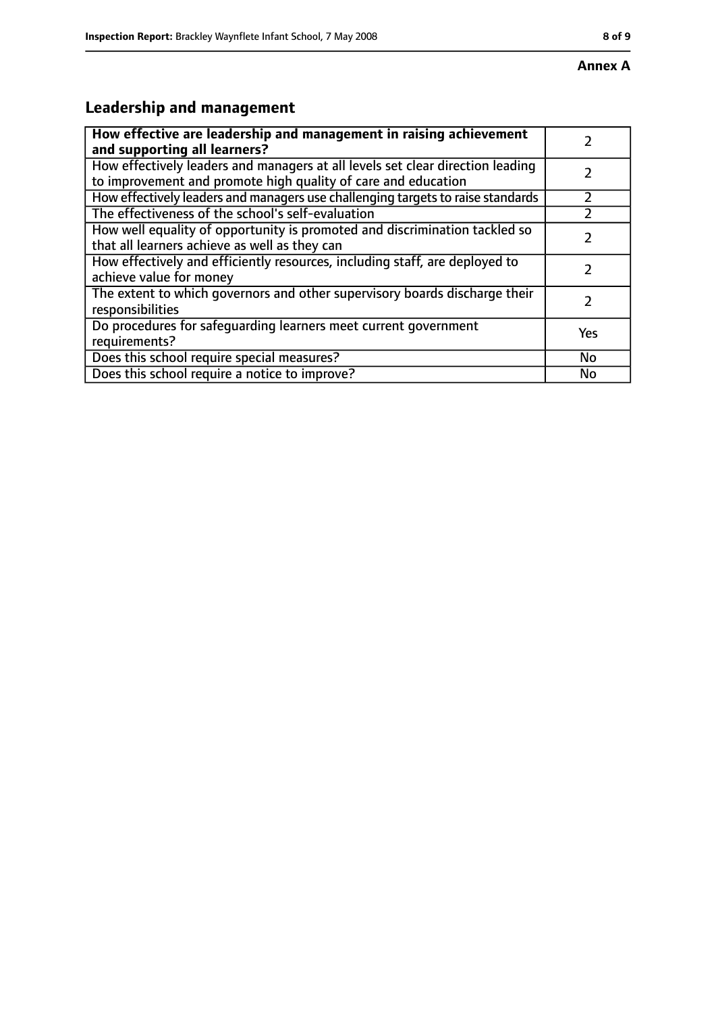#### **Annex A**

# **Leadership and management**

| How effective are leadership and management in raising achievement              |     |
|---------------------------------------------------------------------------------|-----|
| and supporting all learners?                                                    |     |
| How effectively leaders and managers at all levels set clear direction leading  |     |
| to improvement and promote high quality of care and education                   |     |
| How effectively leaders and managers use challenging targets to raise standards |     |
| The effectiveness of the school's self-evaluation                               |     |
| How well equality of opportunity is promoted and discrimination tackled so      |     |
| that all learners achieve as well as they can                                   |     |
| How effectively and efficiently resources, including staff, are deployed to     | 7   |
| achieve value for money                                                         |     |
| The extent to which governors and other supervisory boards discharge their      |     |
| responsibilities                                                                |     |
| Do procedures for safequarding learners meet current government                 | Yes |
| requirements?                                                                   |     |
| Does this school require special measures?                                      | No  |
| Does this school require a notice to improve?                                   | No  |